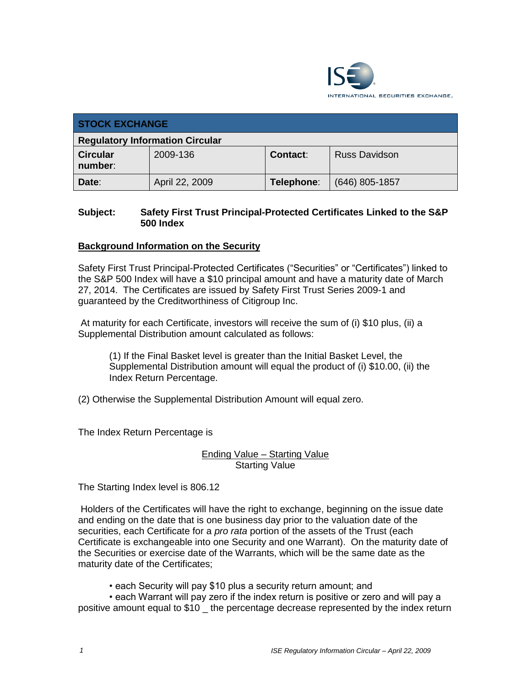

| <b>STOCK EXCHANGE</b>                  |                |                 |                      |
|----------------------------------------|----------------|-----------------|----------------------|
| <b>Regulatory Information Circular</b> |                |                 |                      |
| <b>Circular</b><br>number:             | 2009-136       | <b>Contact:</b> | <b>Russ Davidson</b> |
| Date:                                  | April 22, 2009 | Telephone:      | $(646)$ 805-1857     |

### **Subject: Safety First Trust Principal-Protected Certificates Linked to the S&P 500 Index**

#### **Background Information on the Security**

Safety First Trust Principal-Protected Certificates ("Securities" or "Certificates") linked to the S&P 500 Index will have a \$10 principal amount and have a maturity date of March 27, 2014. The Certificates are issued by Safety First Trust Series 2009-1 and guaranteed by the Creditworthiness of Citigroup Inc.

At maturity for each Certificate, investors will receive the sum of (i) \$10 plus, (ii) a Supplemental Distribution amount calculated as follows:

(1) If the Final Basket level is greater than the Initial Basket Level, the Supplemental Distribution amount will equal the product of (i) \$10.00, (ii) the Index Return Percentage.

(2) Otherwise the Supplemental Distribution Amount will equal zero.

The Index Return Percentage is

#### Ending Value – Starting Value **Starting Value**

The Starting Index level is 806.12

Holders of the Certificates will have the right to exchange, beginning on the issue date and ending on the date that is one business day prior to the valuation date of the securities, each Certificate for a *pro rata* portion of the assets of the Trust (each Certificate is exchangeable into one Security and one Warrant). On the maturity date of the Securities or exercise date of the Warrants, which will be the same date as the maturity date of the Certificates;

• each Security will pay \$10 plus a security return amount; and

• each Warrant will pay zero if the index return is positive or zero and will pay a positive amount equal to \$10 \_ the percentage decrease represented by the index return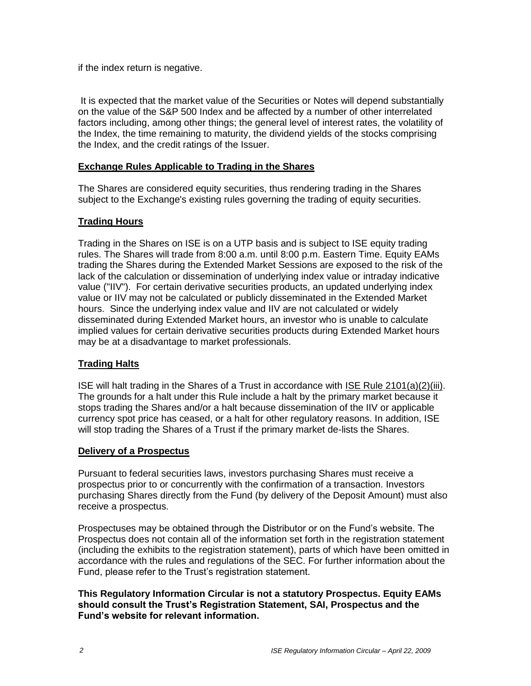if the index return is negative.

It is expected that the market value of the Securities or Notes will depend substantially on the value of the S&P 500 Index and be affected by a number of other interrelated factors including, among other things; the general level of interest rates, the volatility of the Index, the time remaining to maturity, the dividend yields of the stocks comprising the Index, and the credit ratings of the Issuer.

### **Exchange Rules Applicable to Trading in the Shares**

The Shares are considered equity securities, thus rendering trading in the Shares subject to the Exchange's existing rules governing the trading of equity securities.

## **Trading Hours**

Trading in the Shares on ISE is on a UTP basis and is subject to ISE equity trading rules. The Shares will trade from 8:00 a.m. until 8:00 p.m. Eastern Time. Equity EAMs trading the Shares during the Extended Market Sessions are exposed to the risk of the lack of the calculation or dissemination of underlying index value or intraday indicative value ("IIV"). For certain derivative securities products, an updated underlying index value or IIV may not be calculated or publicly disseminated in the Extended Market hours. Since the underlying index value and IIV are not calculated or widely disseminated during Extended Market hours, an investor who is unable to calculate implied values for certain derivative securities products during Extended Market hours may be at a disadvantage to market professionals.

## **Trading Halts**

ISE will halt trading in the Shares of a Trust in accordance with ISE Rule 2101(a)(2)(iii). The grounds for a halt under this Rule include a halt by the primary market because it stops trading the Shares and/or a halt because dissemination of the IIV or applicable currency spot price has ceased, or a halt for other regulatory reasons. In addition, ISE will stop trading the Shares of a Trust if the primary market de-lists the Shares.

#### **Delivery of a Prospectus**

Pursuant to federal securities laws, investors purchasing Shares must receive a prospectus prior to or concurrently with the confirmation of a transaction. Investors purchasing Shares directly from the Fund (by delivery of the Deposit Amount) must also receive a prospectus.

Prospectuses may be obtained through the Distributor or on the Fund's website. The Prospectus does not contain all of the information set forth in the registration statement (including the exhibits to the registration statement), parts of which have been omitted in accordance with the rules and regulations of the SEC. For further information about the Fund, please refer to the Trust's registration statement.

#### **This Regulatory Information Circular is not a statutory Prospectus. Equity EAMs should consult the Trust's Registration Statement, SAI, Prospectus and the Fund's website for relevant information.**